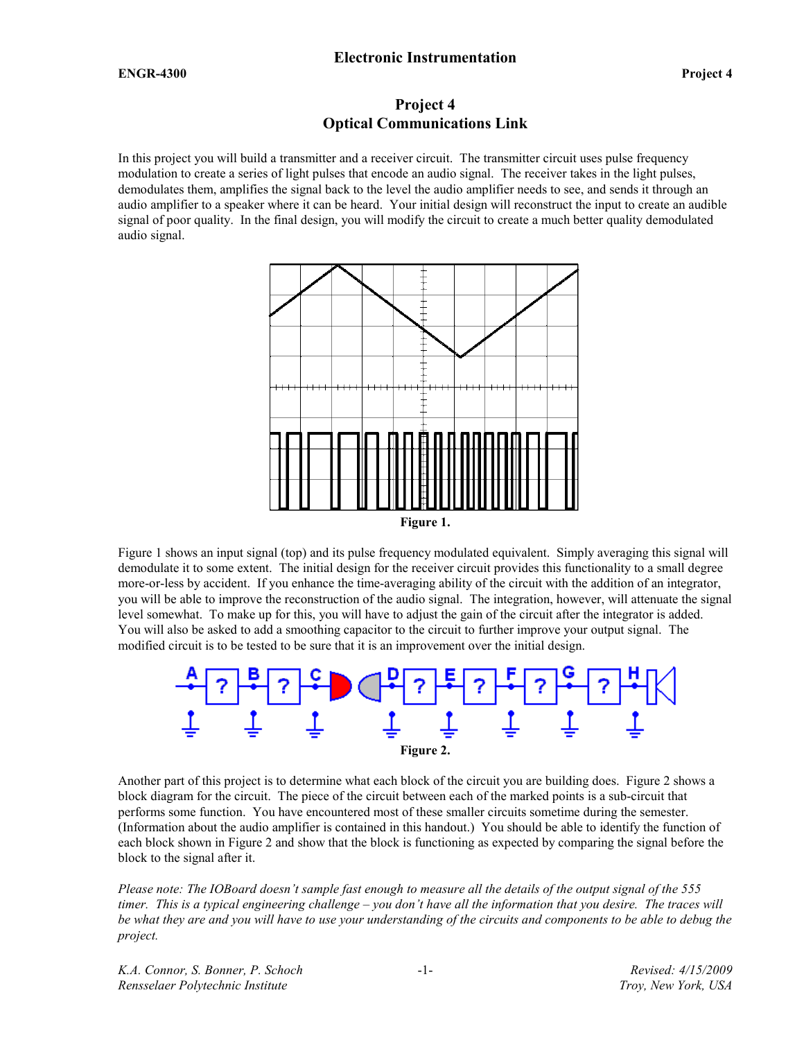# Project 4 Optical Communications Link

In this project you will build a transmitter and a receiver circuit. The transmitter circuit uses pulse frequency modulation to create a series of light pulses that encode an audio signal. The receiver takes in the light pulses, demodulates them, amplifies the signal back to the level the audio amplifier needs to see, and sends it through an audio amplifier to a speaker where it can be heard. Your initial design will reconstruct the input to create an audible signal of poor quality. In the final design, you will modify the circuit to create a much better quality demodulated audio signal.



Figure 1 shows an input signal (top) and its pulse frequency modulated equivalent. Simply averaging this signal will demodulate it to some extent. The initial design for the receiver circuit provides this functionality to a small degree more-or-less by accident. If you enhance the time-averaging ability of the circuit with the addition of an integrator, you will be able to improve the reconstruction of the audio signal. The integration, however, will attenuate the signal level somewhat. To make up for this, you will have to adjust the gain of the circuit after the integrator is added. You will also be asked to add a smoothing capacitor to the circuit to further improve your output signal. The modified circuit is to be tested to be sure that it is an improvement over the initial design.



Another part of this project is to determine what each block of the circuit you are building does. Figure 2 shows a block diagram for the circuit. The piece of the circuit between each of the marked points is a sub-circuit that performs some function. You have encountered most of these smaller circuits sometime during the semester. (Information about the audio amplifier is contained in this handout.) You should be able to identify the function of each block shown in Figure 2 and show that the block is functioning as expected by comparing the signal before the block to the signal after it.

Please note: The IOBoard doesn't sample fast enough to measure all the details of the output signal of the 555 timer. This is a typical engineering challenge – you don't have all the information that you desire. The traces will be what they are and you will have to use your understanding of the circuits and components to be able to debug the project.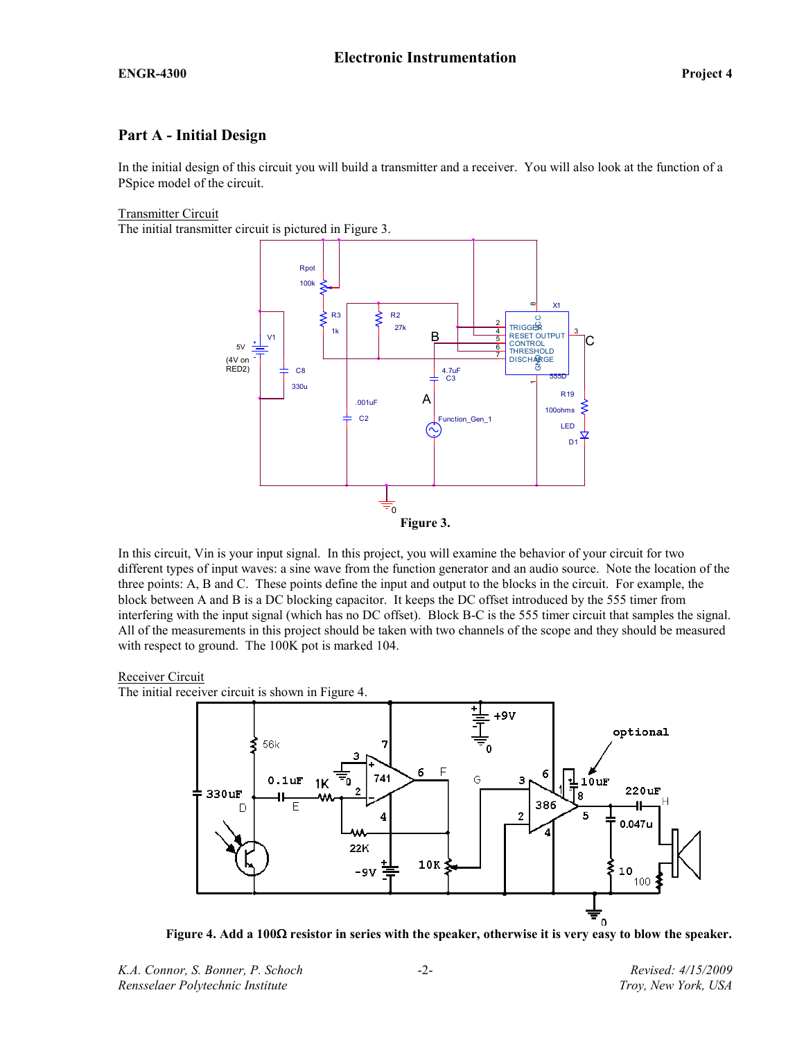# Part A - Initial Design

In the initial design of this circuit you will build a transmitter and a receiver. You will also look at the function of a PSpice model of the circuit.

### Transmitter Circuit

The initial transmitter circuit is pictured in Figure 3.



In this circuit, Vin is your input signal. In this project, you will examine the behavior of your circuit for two different types of input waves: a sine wave from the function generator and an audio source. Note the location of the three points: A, B and C. These points define the input and output to the blocks in the circuit. For example, the block between A and B is a DC blocking capacitor. It keeps the DC offset introduced by the 555 timer from interfering with the input signal (which has no DC offset). Block B-C is the 555 timer circuit that samples the signal. All of the measurements in this project should be taken with two channels of the scope and they should be measured with respect to ground. The 100K pot is marked 104.

#### Receiver Circuit

The initial receiver circuit is shown in Figure 4.



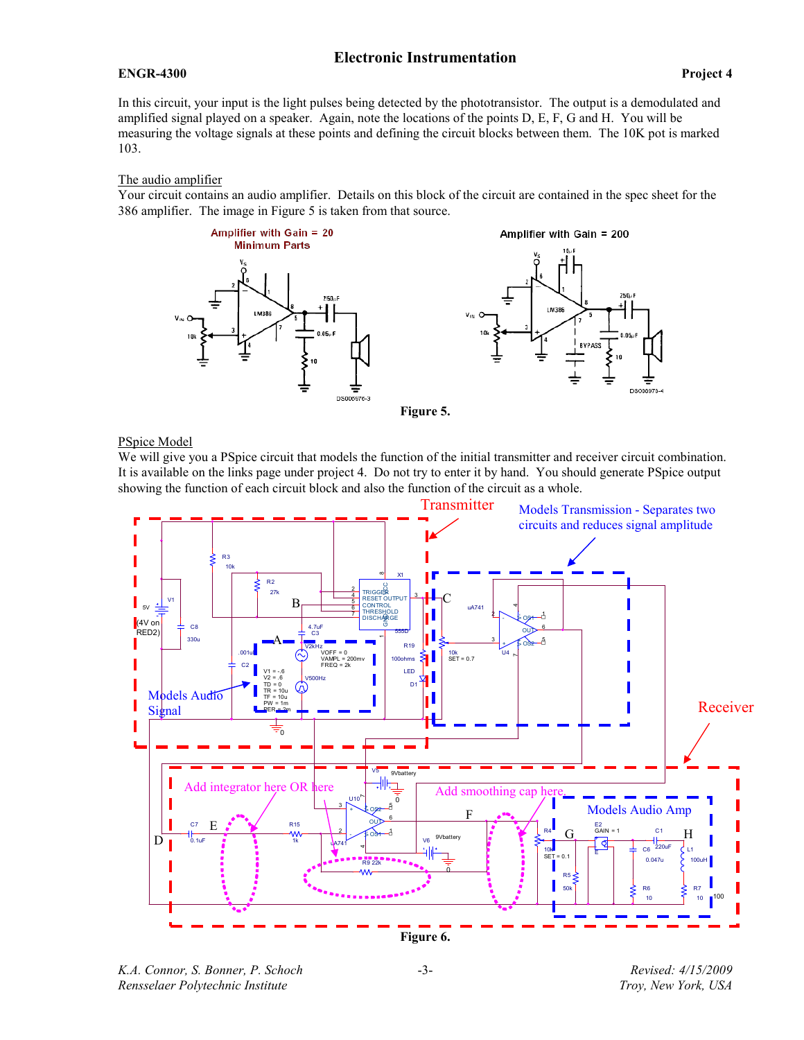### ENGR-4300 Project 4

In this circuit, your input is the light pulses being detected by the phototransistor. The output is a demodulated and amplified signal played on a speaker. Again, note the locations of the points D, E, F, G and H. You will be measuring the voltage signals at these points and defining the circuit blocks between them. The 10K pot is marked 103.

### The audio amplifier

Your circuit contains an audio amplifier. Details on this block of the circuit are contained in the spec sheet for the 386 amplifier. The image in Figure 5 is taken from that source.





Figure 5.

### PSpice Model

We will give you a PSpice circuit that models the function of the initial transmitter and receiver circuit combination. It is available on the links page under project 4. Do not try to enter it by hand. You should generate PSpice output showing the function of each circuit block and also the function of the circuit as a whole.



K.A. Connor, S. Bonner, P. Schoch Revised: 4/15/2009 Rensselaer Polytechnic Institute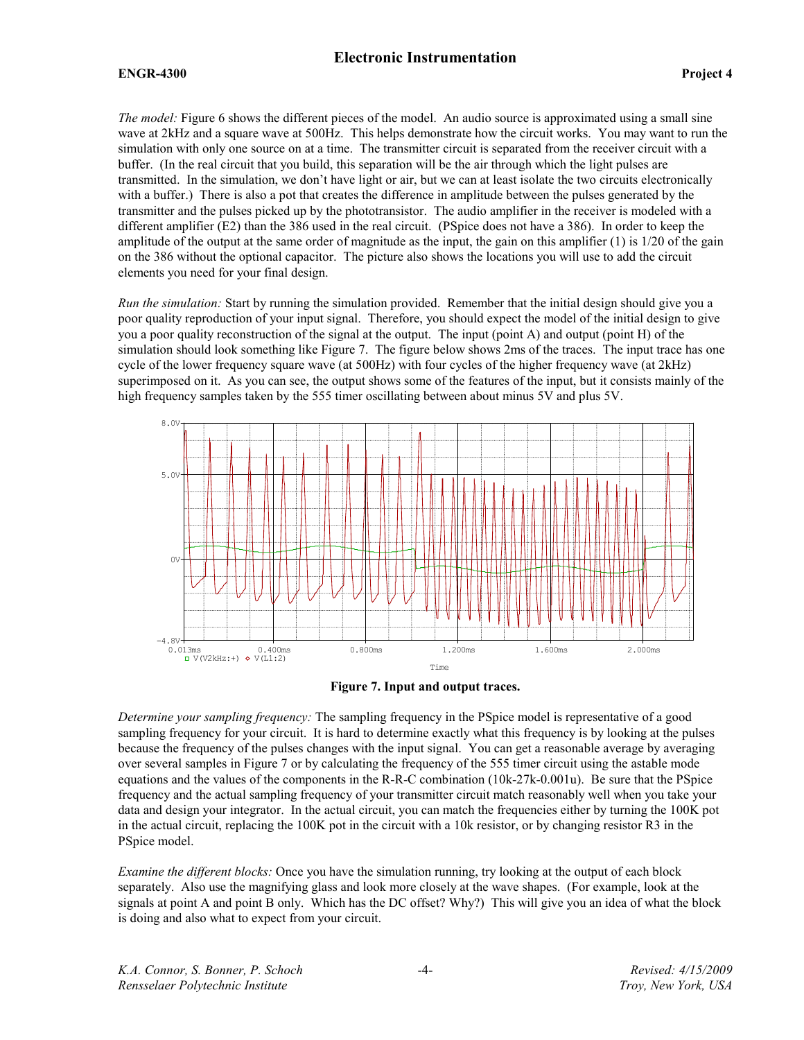#### ENGR-4300 Project 4

The model: Figure 6 shows the different pieces of the model. An audio source is approximated using a small sine wave at 2kHz and a square wave at 500Hz. This helps demonstrate how the circuit works. You may want to run the simulation with only one source on at a time. The transmitter circuit is separated from the receiver circuit with a buffer. (In the real circuit that you build, this separation will be the air through which the light pulses are transmitted. In the simulation, we don't have light or air, but we can at least isolate the two circuits electronically with a buffer.) There is also a pot that creates the difference in amplitude between the pulses generated by the transmitter and the pulses picked up by the phototransistor. The audio amplifier in the receiver is modeled with a different amplifier (E2) than the 386 used in the real circuit. (PSpice does not have a 386). In order to keep the amplitude of the output at the same order of magnitude as the input, the gain on this amplifier (1) is 1/20 of the gain on the 386 without the optional capacitor. The picture also shows the locations you will use to add the circuit elements you need for your final design.

Run the simulation: Start by running the simulation provided. Remember that the initial design should give you a poor quality reproduction of your input signal. Therefore, you should expect the model of the initial design to give you a poor quality reconstruction of the signal at the output. The input (point A) and output (point H) of the simulation should look something like Figure 7. The figure below shows 2ms of the traces. The input trace has one cycle of the lower frequency square wave (at 500Hz) with four cycles of the higher frequency wave (at 2kHz) superimposed on it. As you can see, the output shows some of the features of the input, but it consists mainly of the high frequency samples taken by the 555 timer oscillating between about minus 5V and plus 5V.



Figure 7. Input and output traces.

Determine your sampling frequency: The sampling frequency in the PSpice model is representative of a good sampling frequency for your circuit. It is hard to determine exactly what this frequency is by looking at the pulses because the frequency of the pulses changes with the input signal. You can get a reasonable average by averaging over several samples in Figure 7 or by calculating the frequency of the 555 timer circuit using the astable mode equations and the values of the components in the R-R-C combination (10k-27k-0.001u). Be sure that the PSpice frequency and the actual sampling frequency of your transmitter circuit match reasonably well when you take your data and design your integrator. In the actual circuit, you can match the frequencies either by turning the 100K pot in the actual circuit, replacing the 100K pot in the circuit with a 10k resistor, or by changing resistor R3 in the PSpice model.

Examine the different blocks: Once you have the simulation running, try looking at the output of each block separately. Also use the magnifying glass and look more closely at the wave shapes. (For example, look at the signals at point A and point B only. Which has the DC offset? Why?) This will give you an idea of what the block is doing and also what to expect from your circuit.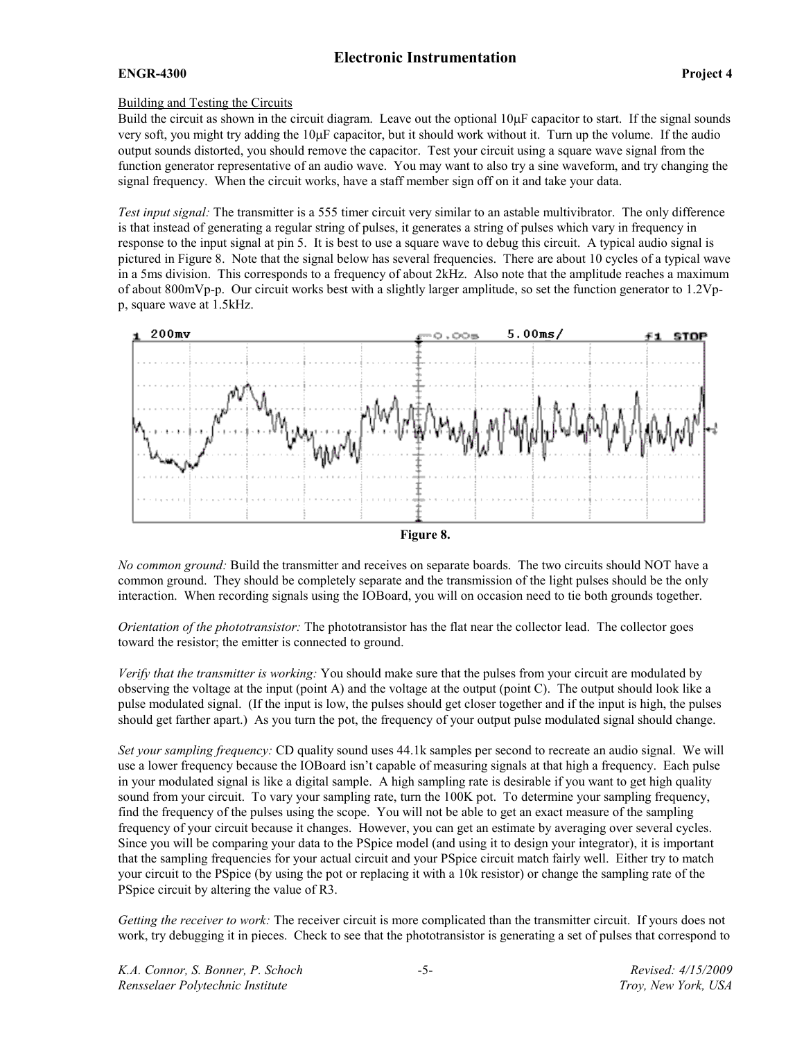### ENGR-4300 Project 4

### Building and Testing the Circuits

Build the circuit as shown in the circuit diagram. Leave out the optional  $10\mu$ F capacitor to start. If the signal sounds very soft, you might try adding the 10µF capacitor, but it should work without it. Turn up the volume. If the audio output sounds distorted, you should remove the capacitor. Test your circuit using a square wave signal from the function generator representative of an audio wave. You may want to also try a sine waveform, and try changing the signal frequency. When the circuit works, have a staff member sign off on it and take your data.

Test input signal: The transmitter is a 555 timer circuit very similar to an astable multivibrator. The only difference is that instead of generating a regular string of pulses, it generates a string of pulses which vary in frequency in response to the input signal at pin 5. It is best to use a square wave to debug this circuit. A typical audio signal is pictured in Figure 8. Note that the signal below has several frequencies. There are about 10 cycles of a typical wave in a 5ms division. This corresponds to a frequency of about 2kHz. Also note that the amplitude reaches a maximum of about 800mVp-p. Our circuit works best with a slightly larger amplitude, so set the function generator to 1.2Vpp, square wave at 1.5kHz.



No common ground: Build the transmitter and receives on separate boards. The two circuits should NOT have a common ground. They should be completely separate and the transmission of the light pulses should be the only interaction. When recording signals using the IOBoard, you will on occasion need to tie both grounds together.

Orientation of the phototransistor: The phototransistor has the flat near the collector lead. The collector goes toward the resistor; the emitter is connected to ground.

Verify that the transmitter is working: You should make sure that the pulses from your circuit are modulated by observing the voltage at the input (point A) and the voltage at the output (point C). The output should look like a pulse modulated signal. (If the input is low, the pulses should get closer together and if the input is high, the pulses should get farther apart.) As you turn the pot, the frequency of your output pulse modulated signal should change.

Set your sampling frequency: CD quality sound uses 44.1k samples per second to recreate an audio signal. We will use a lower frequency because the IOBoard isn't capable of measuring signals at that high a frequency. Each pulse in your modulated signal is like a digital sample. A high sampling rate is desirable if you want to get high quality sound from your circuit. To vary your sampling rate, turn the 100K pot. To determine your sampling frequency, find the frequency of the pulses using the scope. You will not be able to get an exact measure of the sampling frequency of your circuit because it changes. However, you can get an estimate by averaging over several cycles. Since you will be comparing your data to the PSpice model (and using it to design your integrator), it is important that the sampling frequencies for your actual circuit and your PSpice circuit match fairly well. Either try to match your circuit to the PSpice (by using the pot or replacing it with a 10k resistor) or change the sampling rate of the PSpice circuit by altering the value of R3.

Getting the receiver to work: The receiver circuit is more complicated than the transmitter circuit. If yours does not work, try debugging it in pieces. Check to see that the phototransistor is generating a set of pulses that correspond to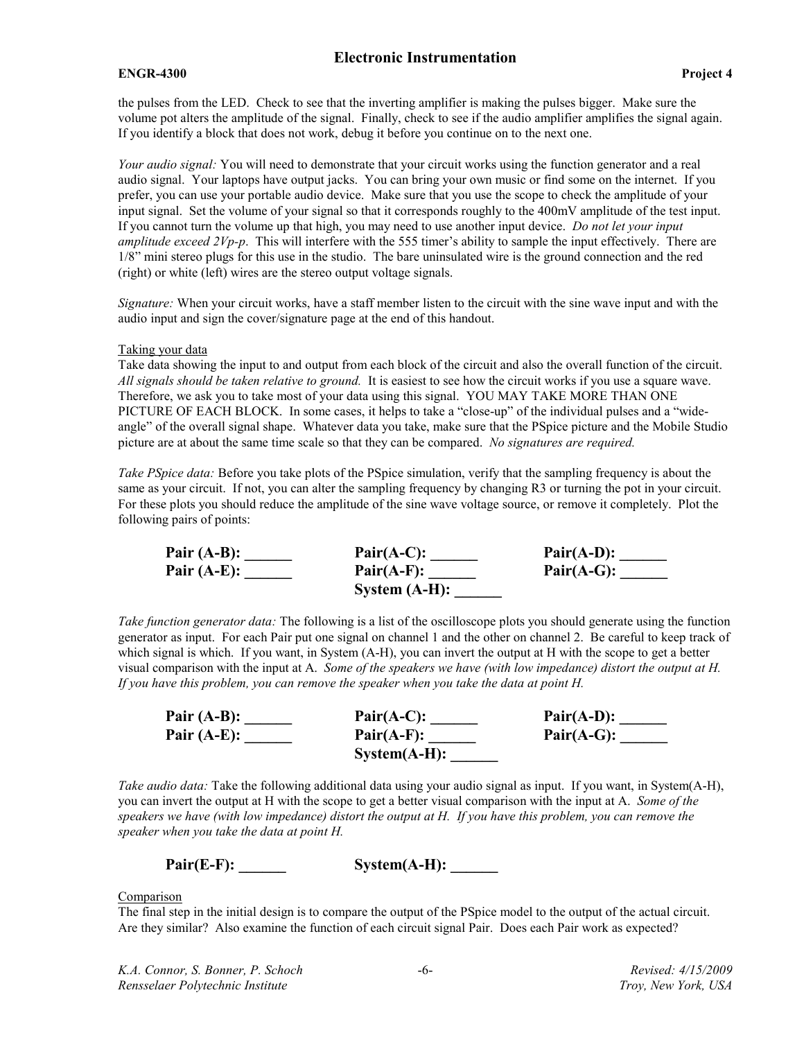### ENGR-4300 Project 4

the pulses from the LED. Check to see that the inverting amplifier is making the pulses bigger. Make sure the volume pot alters the amplitude of the signal. Finally, check to see if the audio amplifier amplifies the signal again. If you identify a block that does not work, debug it before you continue on to the next one.

Your audio signal: You will need to demonstrate that your circuit works using the function generator and a real audio signal. Your laptops have output jacks. You can bring your own music or find some on the internet. If you prefer, you can use your portable audio device. Make sure that you use the scope to check the amplitude of your input signal. Set the volume of your signal so that it corresponds roughly to the 400mV amplitude of the test input. If you cannot turn the volume up that high, you may need to use another input device. Do not let your input amplitude exceed  $2Vp-p$ . This will interfere with the 555 timer's ability to sample the input effectively. There are 1/8" mini stereo plugs for this use in the studio. The bare uninsulated wire is the ground connection and the red (right) or white (left) wires are the stereo output voltage signals.

Signature: When your circuit works, have a staff member listen to the circuit with the sine wave input and with the audio input and sign the cover/signature page at the end of this handout.

#### Taking your data

Take data showing the input to and output from each block of the circuit and also the overall function of the circuit. All signals should be taken relative to ground. It is easiest to see how the circuit works if you use a square wave. Therefore, we ask you to take most of your data using this signal. YOU MAY TAKE MORE THAN ONE PICTURE OF EACH BLOCK. In some cases, it helps to take a "close-up" of the individual pulses and a "wideangle" of the overall signal shape. Whatever data you take, make sure that the PSpice picture and the Mobile Studio picture are at about the same time scale so that they can be compared. No signatures are required.

Take PSpice data: Before you take plots of the PSpice simulation, verify that the sampling frequency is about the same as your circuit. If not, you can alter the sampling frequency by changing R3 or turning the pot in your circuit. For these plots you should reduce the amplitude of the sine wave voltage source, or remove it completely. Plot the following pairs of points:

| Pair $(A-B)$ : | $Pair(A-C):$     | $Pair(A-D):$ |
|----------------|------------------|--------------|
| Pair $(A-E)$ : | $Pair(A-F):$     | $Pair(A-G):$ |
|                | System $(A-H)$ : |              |

Take function generator data: The following is a list of the oscilloscope plots you should generate using the function generator as input. For each Pair put one signal on channel 1 and the other on channel 2. Be careful to keep track of which signal is which. If you want, in System (A-H), you can invert the output at H with the scope to get a better visual comparison with the input at A. Some of the speakers we have (with low impedance) distort the output at H. If you have this problem, you can remove the speaker when you take the data at point H.

| Pair $(A-B)$ : | $Pair(A-C):$   | $Pair(A-D):$ |
|----------------|----------------|--------------|
| Pair $(A-E)$ : | $Pair(A-F):$   | $Pair(A-G):$ |
|                | $System(A-H):$ |              |

Take audio data: Take the following additional data using your audio signal as input. If you want, in System(A-H), you can invert the output at H with the scope to get a better visual comparison with the input at A. Some of the speakers we have (with low impedance) distort the output at H. If you have this problem, you can remove the speaker when you take the data at point H.

 $Pair(E-F):$  System(A-H):

Comparison

The final step in the initial design is to compare the output of the PSpice model to the output of the actual circuit. Are they similar? Also examine the function of each circuit signal Pair. Does each Pair work as expected?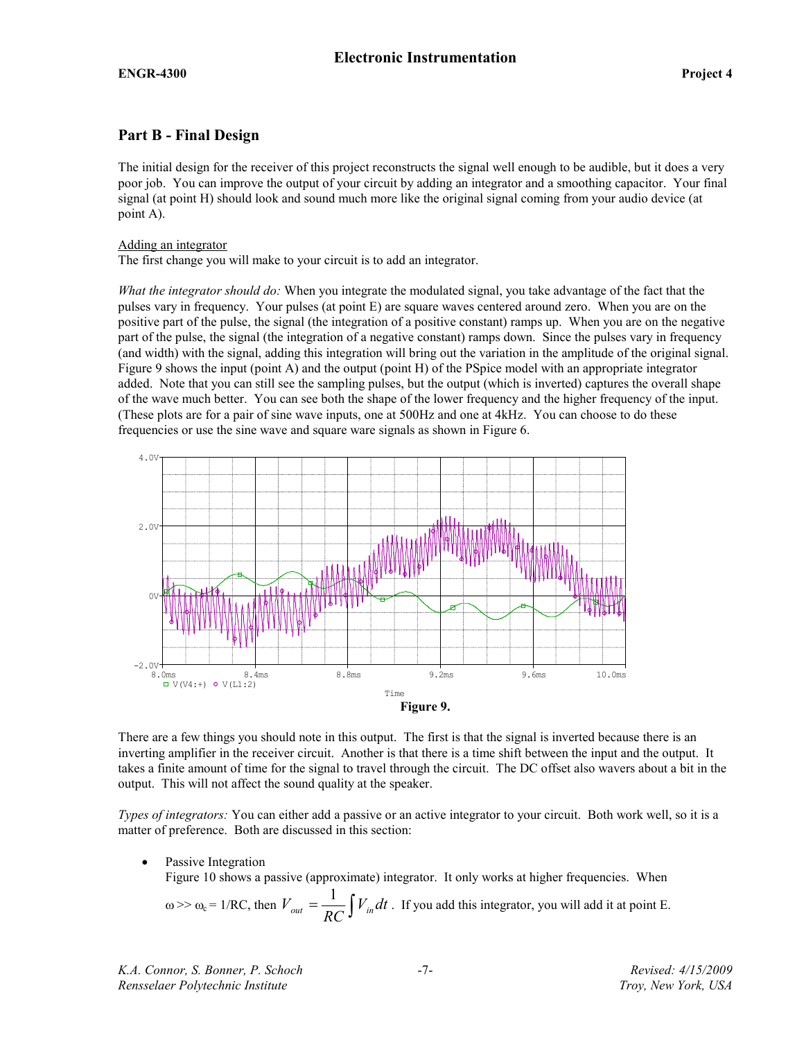# Part B - Final Design

The initial design for the receiver of this project reconstructs the signal well enough to be audible, but it does a very poor job. You can improve the output of your circuit by adding an integrator and a smoothing capacitor. Your final signal (at point H) should look and sound much more like the original signal coming from your audio device (at point A).

### Adding an integrator

The first change you will make to your circuit is to add an integrator.

What the integrator should do: When you integrate the modulated signal, you take advantage of the fact that the pulses vary in frequency. Your pulses (at point E) are square waves centered around zero. When you are on the positive part of the pulse, the signal (the integration of a positive constant) ramps up. When you are on the negative part of the pulse, the signal (the integration of a negative constant) ramps down. Since the pulses vary in frequency (and width) with the signal, adding this integration will bring out the variation in the amplitude of the original signal. Figure 9 shows the input (point A) and the output (point H) of the PSpice model with an appropriate integrator added. Note that you can still see the sampling pulses, but the output (which is inverted) captures the overall shape of the wave much better. You can see both the shape of the lower frequency and the higher frequency of the input. (These plots are for a pair of sine wave inputs, one at 500Hz and one at 4kHz. You can choose to do these frequencies or use the sine wave and square ware signals as shown in Figure 6.



There are a few things you should note in this output. The first is that the signal is inverted because there is an inverting amplifier in the receiver circuit. Another is that there is a time shift between the input and the output. It takes a finite amount of time for the signal to travel through the circuit. The DC offset also wavers about a bit in the output. This will not affect the sound quality at the speaker.

Types of integrators: You can either add a passive or an active integrator to your circuit. Both work well, so it is a matter of preference. Both are discussed in this section:

Passive Integration

Figure 10 shows a passive (approximate) integrator. It only works at higher frequencies. When

$$
\omega \gg \omega_c = 1/RC
$$
, then  $V_{out} = \frac{1}{RC} \int V_{in} dt$ . If you add this integrator, you will add it at point E.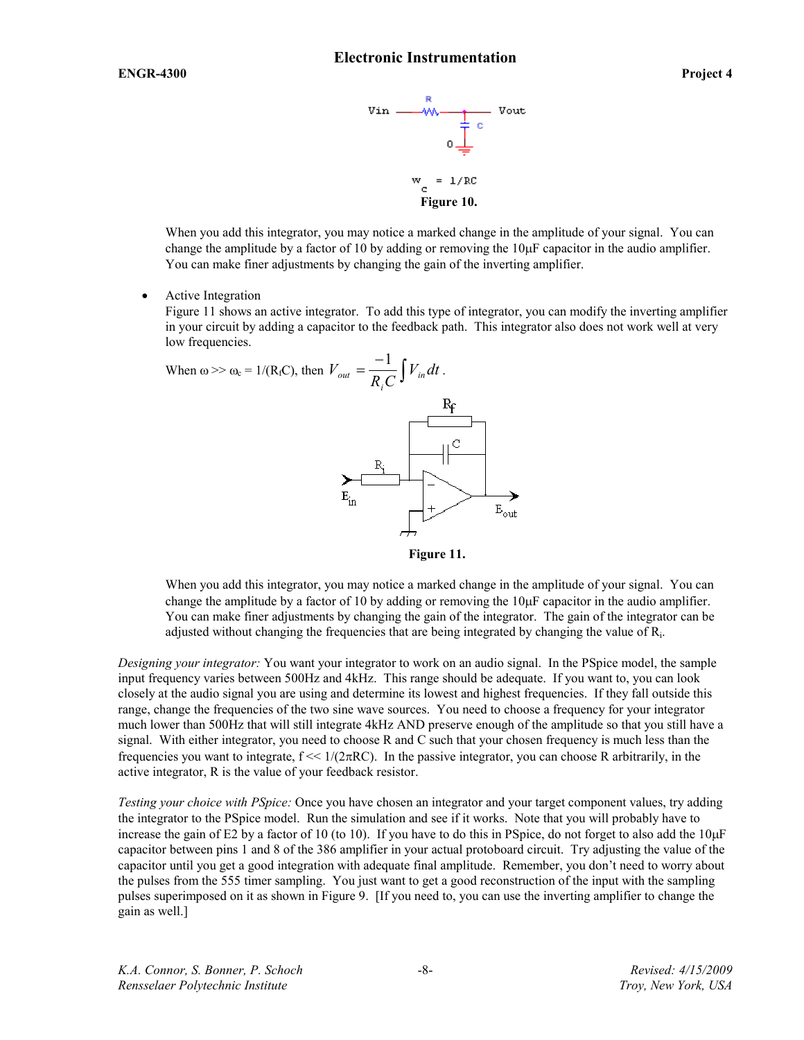

When you add this integrator, you may notice a marked change in the amplitude of your signal. You can change the amplitude by a factor of 10 by adding or removing the  $10\mu$ F capacitor in the audio amplifier. You can make finer adjustments by changing the gain of the inverting amplifier.

• Active Integration

Figure 11 shows an active integrator. To add this type of integrator, you can modify the inverting amplifier in your circuit by adding a capacitor to the feedback path. This integrator also does not work well at very low frequencies.

When 
$$
\omega >> \omega_c = 1/(R_fC)
$$
, then  $V_{out} = \frac{-1}{R_i C} \int V_{in} dt$ .  
  

$$
E_i
$$

Figure 11.

When you add this integrator, you may notice a marked change in the amplitude of your signal. You can change the amplitude by a factor of 10 by adding or removing the 10µF capacitor in the audio amplifier. You can make finer adjustments by changing the gain of the integrator. The gain of the integrator can be adjusted without changing the frequencies that are being integrated by changing the value of  $R_i$ .

Designing your integrator: You want your integrator to work on an audio signal. In the PSpice model, the sample input frequency varies between 500Hz and 4kHz. This range should be adequate. If you want to, you can look closely at the audio signal you are using and determine its lowest and highest frequencies. If they fall outside this range, change the frequencies of the two sine wave sources. You need to choose a frequency for your integrator much lower than 500Hz that will still integrate 4kHz AND preserve enough of the amplitude so that you still have a signal. With either integrator, you need to choose R and C such that your chosen frequency is much less than the frequencies you want to integrate,  $f \ll 1/(2\pi RC)$ . In the passive integrator, you can choose R arbitrarily, in the active integrator, R is the value of your feedback resistor.

Testing your choice with PSpice: Once you have chosen an integrator and your target component values, try adding the integrator to the PSpice model. Run the simulation and see if it works. Note that you will probably have to increase the gain of E2 by a factor of 10 (to 10). If you have to do this in PSpice, do not forget to also add the  $10\mu$ F capacitor between pins 1 and 8 of the 386 amplifier in your actual protoboard circuit. Try adjusting the value of the capacitor until you get a good integration with adequate final amplitude. Remember, you don't need to worry about the pulses from the 555 timer sampling. You just want to get a good reconstruction of the input with the sampling pulses superimposed on it as shown in Figure 9. [If you need to, you can use the inverting amplifier to change the gain as well.]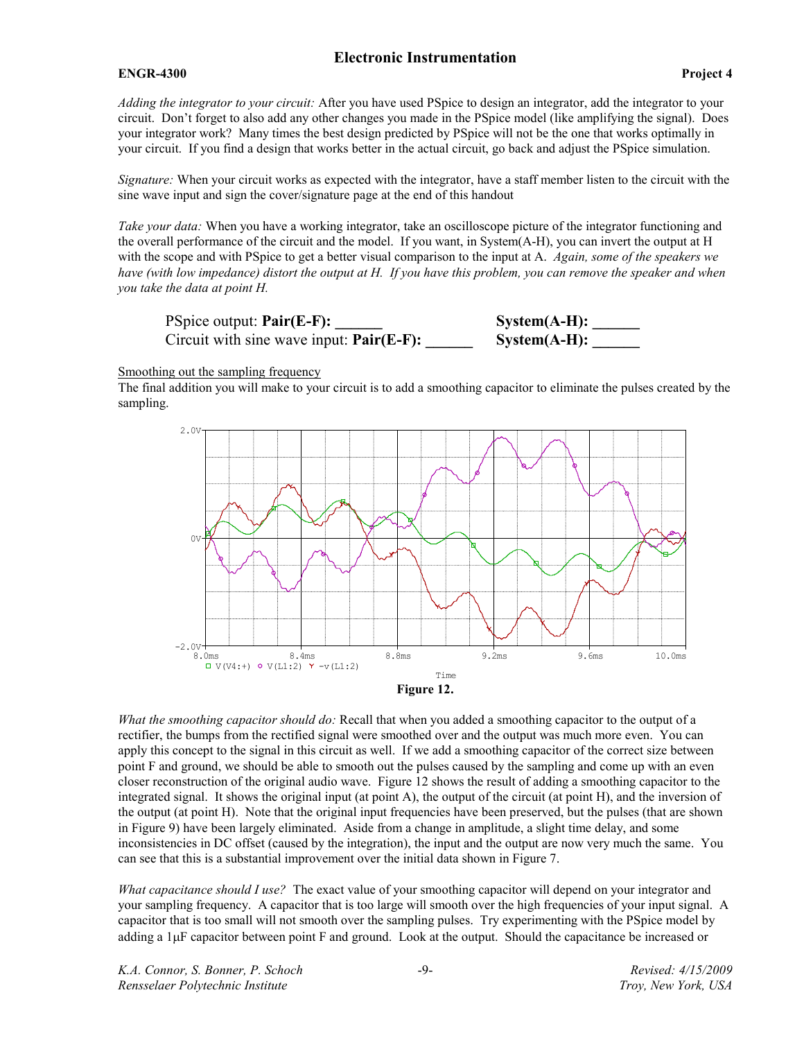### ENGR-4300 Project 4

Adding the integrator to your circuit: After you have used PSpice to design an integrator, add the integrator to your circuit. Don't forget to also add any other changes you made in the PSpice model (like amplifying the signal). Does your integrator work? Many times the best design predicted by PSpice will not be the one that works optimally in your circuit. If you find a design that works better in the actual circuit, go back and adjust the PSpice simulation.

Signature: When your circuit works as expected with the integrator, have a staff member listen to the circuit with the sine wave input and sign the cover/signature page at the end of this handout

Take your data: When you have a working integrator, take an oscilloscope picture of the integrator functioning and the overall performance of the circuit and the model. If you want, in System(A-H), you can invert the output at H with the scope and with PSpice to get a better visual comparison to the input at A. Again, some of the speakers we have (with low impedance) distort the output at H. If you have this problem, you can remove the speaker and when you take the data at point H.

PSpice output:  $Pair(E-F):$  System(A-H): \_\_\_\_\_\_ Circuit with sine wave input:  $Pair(E-F):$  System $(A-H):$ 



Smoothing out the sampling frequency

The final addition you will make to your circuit is to add a smoothing capacitor to eliminate the pulses created by the sampling.



What the smoothing capacitor should do: Recall that when you added a smoothing capacitor to the output of a rectifier, the bumps from the rectified signal were smoothed over and the output was much more even. You can apply this concept to the signal in this circuit as well. If we add a smoothing capacitor of the correct size between point F and ground, we should be able to smooth out the pulses caused by the sampling and come up with an even closer reconstruction of the original audio wave. Figure 12 shows the result of adding a smoothing capacitor to the integrated signal. It shows the original input (at point A), the output of the circuit (at point H), and the inversion of the output (at point H). Note that the original input frequencies have been preserved, but the pulses (that are shown in Figure 9) have been largely eliminated. Aside from a change in amplitude, a slight time delay, and some inconsistencies in DC offset (caused by the integration), the input and the output are now very much the same. You can see that this is a substantial improvement over the initial data shown in Figure 7.

What capacitance should I use? The exact value of your smoothing capacitor will depend on your integrator and your sampling frequency. A capacitor that is too large will smooth over the high frequencies of your input signal. A capacitor that is too small will not smooth over the sampling pulses. Try experimenting with the PSpice model by adding a 1µF capacitor between point F and ground. Look at the output. Should the capacitance be increased or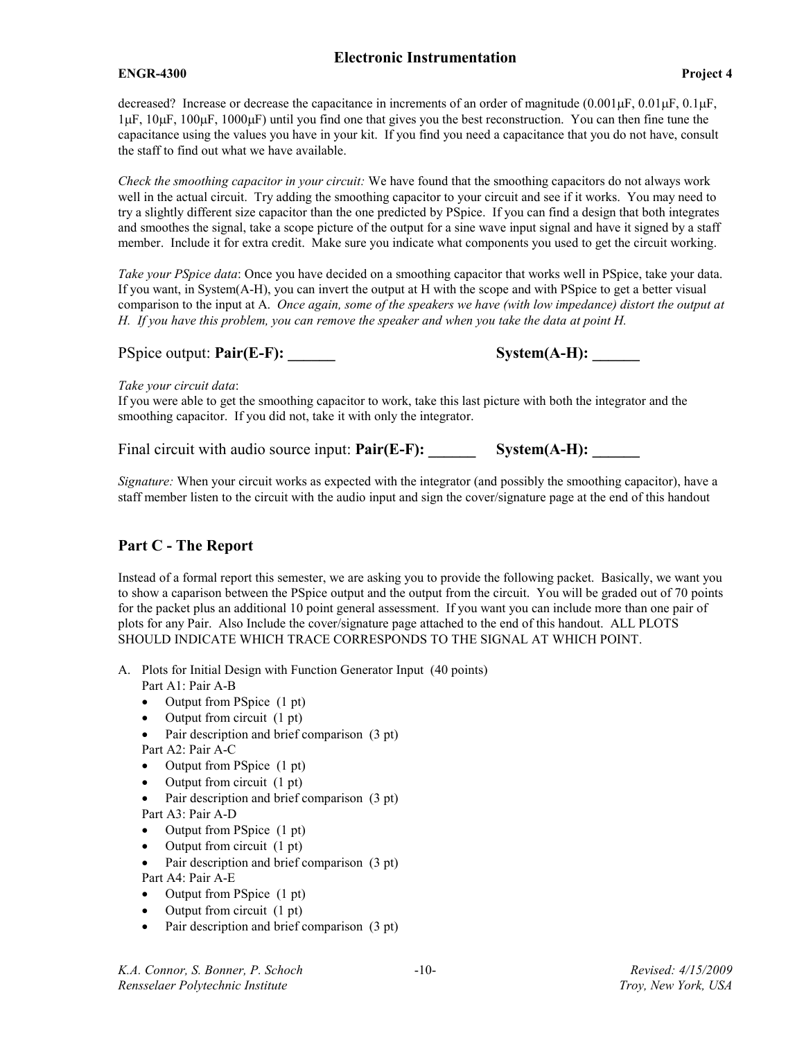### ENGR-4300 Project 4

Check the smoothing capacitor in your circuit: We have found that the smoothing capacitors do not always work well in the actual circuit. Try adding the smoothing capacitor to your circuit and see if it works. You may need to try a slightly different size capacitor than the one predicted by PSpice. If you can find a design that both integrates and smoothes the signal, take a scope picture of the output for a sine wave input signal and have it signed by a staff member. Include it for extra credit. Make sure you indicate what components you used to get the circuit working.

Take your PSpice data: Once you have decided on a smoothing capacitor that works well in PSpice, take your data. If you want, in System(A-H), you can invert the output at H with the scope and with PSpice to get a better visual comparison to the input at A. Once again, some of the speakers we have (with low impedance) distort the output at H. If you have this problem, you can remove the speaker and when you take the data at point H.

PSpice output: Pair(E-F): \_\_\_\_\_\_ System(A-H): \_\_\_\_\_\_

### Take your circuit data:

If you were able to get the smoothing capacitor to work, take this last picture with both the integrator and the smoothing capacitor. If you did not, take it with only the integrator.

Final circuit with audio source input:  $Pair(E-F)$ : System $(A-H)$ :

Signature: When your circuit works as expected with the integrator (and possibly the smoothing capacitor), have a staff member listen to the circuit with the audio input and sign the cover/signature page at the end of this handout

# Part C - The Report

Instead of a formal report this semester, we are asking you to provide the following packet. Basically, we want you to show a caparison between the PSpice output and the output from the circuit. You will be graded out of 70 points for the packet plus an additional 10 point general assessment. If you want you can include more than one pair of plots for any Pair. Also Include the cover/signature page attached to the end of this handout. ALL PLOTS SHOULD INDICATE WHICH TRACE CORRESPONDS TO THE SIGNAL AT WHICH POINT.

- A. Plots for Initial Design with Function Generator Input (40 points) Part A1: Pair A-B
	- Output from PSpice (1 pt)
	- Output from circuit (1 pt)
	- Pair description and brief comparison (3 pt) Part A2: Pair A-C
	- Output from PSpice (1 pt)
	- Output from circuit (1 pt)
	- Pair description and brief comparison (3 pt) Part A3: Pair A-D
	- Output from PSpice (1 pt)
	- Output from circuit (1 pt)
	- Pair description and brief comparison (3 pt) Part A4: Pair A-E
	- Output from PSpice (1 pt)
	- Output from circuit (1 pt)
	- Pair description and brief comparison (3 pt)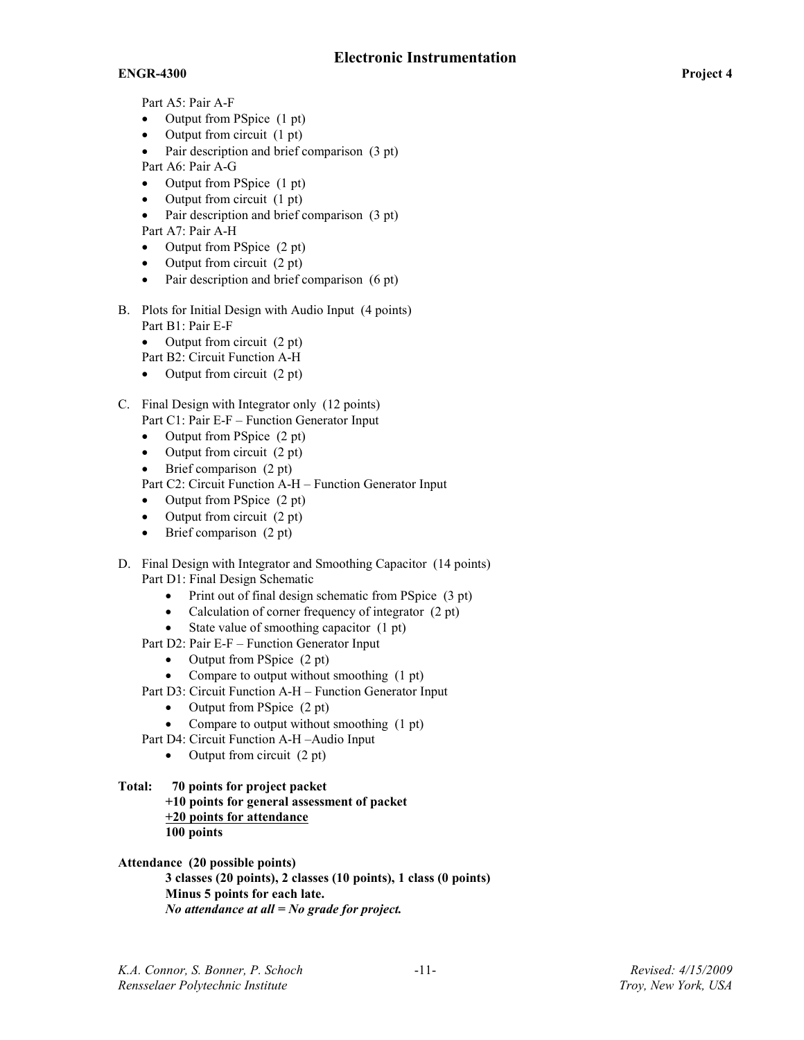## ENGR-4300 Project 4

Part A5: Pair A-F

- Output from PSpice (1 pt)
- Output from circuit (1 pt)
- Pair description and brief comparison (3 pt)
- Part A6: Pair A-G
- Output from PSpice (1 pt)
- Output from circuit  $(1 \text{ pt})$ <br>• Pair description and brief c
- Pair description and brief comparison (3 pt) Part A7: Pair A-H
- Output from PSpice (2 pt)
- Output from circuit (2 pt)
- Pair description and brief comparison (6 pt)
- B. Plots for Initial Design with Audio Input (4 points) Part B1: Pair E-F
	- Output from circuit (2 pt)
	- Part B2: Circuit Function A-H
	- Output from circuit (2 pt)
- C. Final Design with Integrator only (12 points) Part C1: Pair E-F – Function Generator Input
	- Output from PSpice (2 pt)
	- Output from circuit  $(2 \text{ pt})$
	- Brief comparison (2 pt)

Part C2: Circuit Function A-H – Function Generator Input

- Output from PSpice (2 pt)
- Output from circuit (2 pt)
- Brief comparison (2 pt)
- D. Final Design with Integrator and Smoothing Capacitor (14 points) Part D1: Final Design Schematic
	- Print out of final design schematic from PSpice (3 pt)
	- Calculation of corner frequency of integrator (2 pt)
	- State value of smoothing capacitor (1 pt)
	- Part D2: Pair E-F Function Generator Input
		- Output from PSpice (2 pt)
		- Compare to output without smoothing (1 pt)
	- Part D3: Circuit Function A-H Function Generator Input
		- Output from PSpice (2 pt)
		- Compare to output without smoothing (1 pt)
	- Part D4: Circuit Function A-H –Audio Input
		- Output from circuit (2 pt)
- Total: 70 points for project packet +10 points for general assessment of packet +20 points for attendance 100 points

Attendance (20 possible points) 3 classes (20 points), 2 classes (10 points), 1 class (0 points) Minus 5 points for each late. No attendance at all  $=N_0$  grade for project.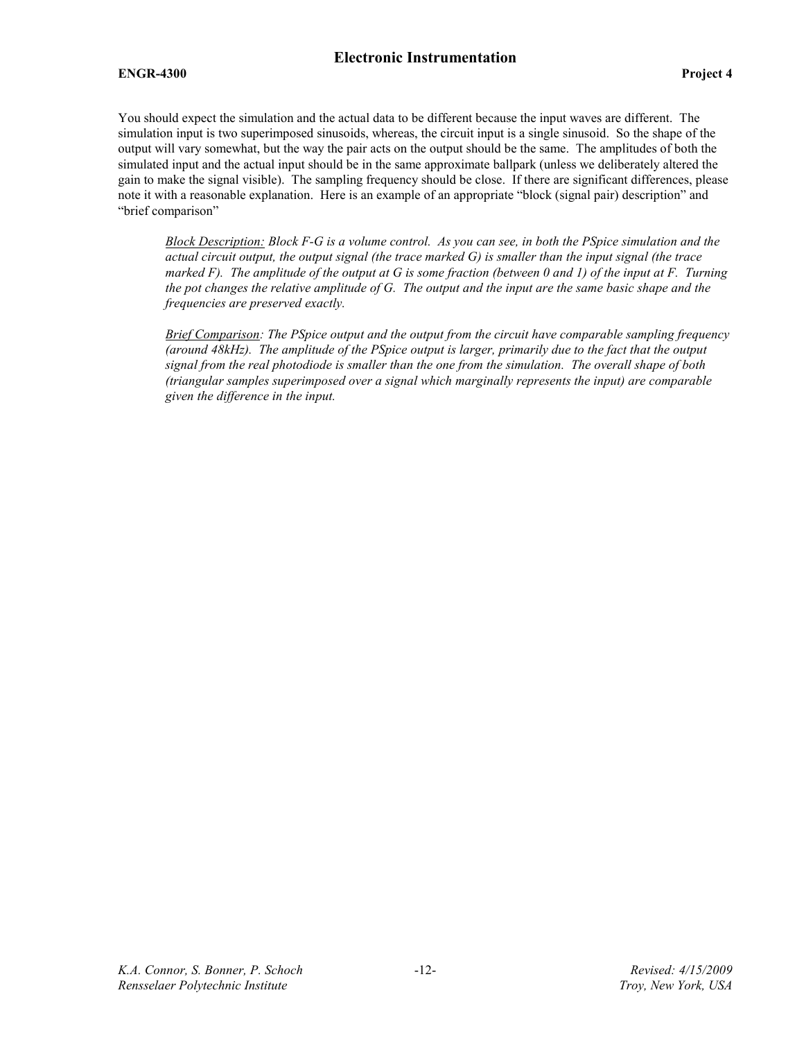### ENGR-4300 Project 4

You should expect the simulation and the actual data to be different because the input waves are different. The simulation input is two superimposed sinusoids, whereas, the circuit input is a single sinusoid. So the shape of the output will vary somewhat, but the way the pair acts on the output should be the same. The amplitudes of both the simulated input and the actual input should be in the same approximate ballpark (unless we deliberately altered the gain to make the signal visible). The sampling frequency should be close. If there are significant differences, please note it with a reasonable explanation. Here is an example of an appropriate "block (signal pair) description" and "brief comparison"

Block Description: Block F-G is a volume control. As you can see, in both the PSpice simulation and the actual circuit output, the output signal (the trace marked  $G$ ) is smaller than the input signal (the trace marked F). The amplitude of the output at G is some fraction (between 0 and 1) of the input at F. Turning the pot changes the relative amplitude of G. The output and the input are the same basic shape and the frequencies are preserved exactly.

Brief Comparison: The PSpice output and the output from the circuit have comparable sampling frequency (around 48kHz). The amplitude of the PSpice output is larger, primarily due to the fact that the output signal from the real photodiode is smaller than the one from the simulation. The overall shape of both (triangular samples superimposed over a signal which marginally represents the input) are comparable given the difference in the input.